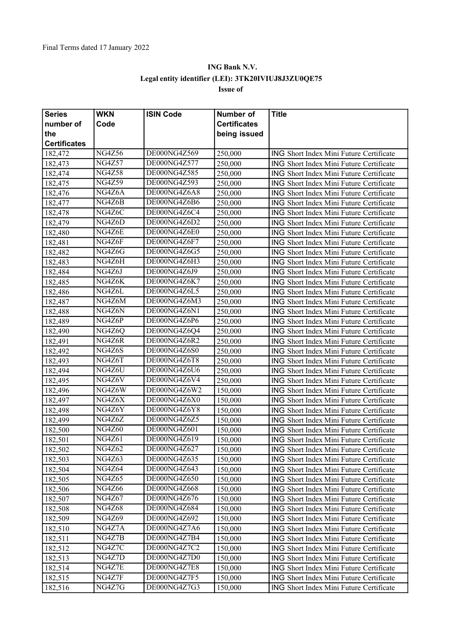## **ING Bank N.V. Legal entity identifier (LEI): 3TK20IVIUJ8J3ZU0QE75 Issue of**

| <b>Series</b>       | <b>WKN</b>    | <b>ISIN Code</b> | Number of           | <b>Title</b>                                   |
|---------------------|---------------|------------------|---------------------|------------------------------------------------|
| number of           | Code          |                  | <b>Certificates</b> |                                                |
| the                 |               |                  | being issued        |                                                |
| <b>Certificates</b> |               |                  |                     |                                                |
| 182,472             | <b>NG4Z56</b> | DE000NG4Z569     | 250,000             | ING Short Index Mini Future Certificate        |
| 182,473             | <b>NG4Z57</b> | DE000NG4Z577     | 250,000             | <b>ING Short Index Mini Future Certificate</b> |
| 182,474             | <b>NG4Z58</b> | DE000NG4Z585     | 250,000             | <b>ING</b> Short Index Mini Future Certificate |
| 182,475             | <b>NG4Z59</b> | DE000NG4Z593     | 250,000             | <b>ING Short Index Mini Future Certificate</b> |
| 182,476             | NG4Z6A        | DE000NG4Z6A8     | 250,000             | ING Short Index Mini Future Certificate        |
| 182,477             | NG4Z6B        | DE000NG4Z6B6     | 250,000             | <b>ING Short Index Mini Future Certificate</b> |
| 182,478             | NG4Z6C        | DE000NG4Z6C4     | 250,000             | <b>ING Short Index Mini Future Certificate</b> |
| 182,479             | NG4Z6D        | DE000NG4Z6D2     | 250,000             | ING Short Index Mini Future Certificate        |
| 182,480             | NG4Z6E        | DE000NG4Z6E0     | 250,000             | <b>ING Short Index Mini Future Certificate</b> |
| 182,481             | NG4Z6F        | DE000NG4Z6F7     | 250,000             | <b>ING Short Index Mini Future Certificate</b> |
| 182,482             | NG4Z6G        | DE000NG4Z6G5     | 250,000             | ING Short Index Mini Future Certificate        |
| 182,483             | NG4Z6H        | DE000NG4Z6H3     | 250,000             | ING Short Index Mini Future Certificate        |
| 182,484             | NG4Z6J        | DE000NG4Z6J9     | 250,000             | ING Short Index Mini Future Certificate        |
| 182,485             | NG4Z6K        | DE000NG4Z6K7     | 250,000             | ING Short Index Mini Future Certificate        |
| 182,486             | NG4Z6L        | DE000NG4Z6L5     | 250,000             | <b>ING Short Index Mini Future Certificate</b> |
| 182,487             | NG4Z6M        | DE000NG4Z6M3     | 250,000             | <b>ING Short Index Mini Future Certificate</b> |
| 182,488             | NG4Z6N        | DE000NG4Z6N1     | 250,000             | ING Short Index Mini Future Certificate        |
| 182,489             | NG4Z6P        | DE000NG4Z6P6     | 250,000             | <b>ING Short Index Mini Future Certificate</b> |
| 182,490             | NG4Z6Q        | DE000NG4Z6Q4     | 250,000             | ING Short Index Mini Future Certificate        |
| 182,491             | NG4Z6R        | DE000NG4Z6R2     | 250,000             | ING Short Index Mini Future Certificate        |
| 182,492             | NG4Z6S        | DE000NG4Z6S0     | 250,000             | <b>ING Short Index Mini Future Certificate</b> |
| 182,493             | NG4Z6T        | DE000NG4Z6T8     | 250,000             | <b>ING Short Index Mini Future Certificate</b> |
| 182,494             | NG4Z6U        | DE000NG4Z6U6     | 250,000             | ING Short Index Mini Future Certificate        |
| 182,495             | NG4Z6V        | DE000NG4Z6V4     | 250,000             | ING Short Index Mini Future Certificate        |
| 182,496             | NG4Z6W        | DE000NG4Z6W2     | 150,000             | ING Short Index Mini Future Certificate        |
| 182,497             | NG4Z6X        | DE000NG4Z6X0     | 150,000             | ING Short Index Mini Future Certificate        |
| 182,498             | NG4Z6Y        | DE000NG4Z6Y8     | 150,000             | <b>ING Short Index Mini Future Certificate</b> |
| 182,499             | NG4Z6Z        | DE000NG4Z6Z5     | 150,000             | <b>ING Short Index Mini Future Certificate</b> |
| 182,500             | <b>NG4Z60</b> | DE000NG4Z601     | 150,000             | ING Short Index Mini Future Certificate        |
| 182,501             | <b>NG4Z61</b> | DE000NG4Z619     | 150,000             | ING Short Index Mini Future Certificate        |
| 182,502             | <b>NG4Z62</b> | DE000NG4Z627     | 150,000             | ING Short Index Mini Future Certificate        |
| 182,503             | NG4Z63        | DE000NG4Z635     | 150,000             | <b>ING</b> Short Index Mini Future Certificate |
| 182,504             | NG4Z64        | DE000NG4Z643     | 150,000             | ING Short Index Mini Future Certificate        |
| 182,505             | <b>NG4Z65</b> | DE000NG4Z650     | 150,000             | <b>ING Short Index Mini Future Certificate</b> |
| 182,506             | <b>NG4Z66</b> | DE000NG4Z668     | 150,000             | ING Short Index Mini Future Certificate        |
| 182,507             | <b>NG4Z67</b> | DE000NG4Z676     | 150,000             | ING Short Index Mini Future Certificate        |
| 182,508             | <b>NG4Z68</b> | DE000NG4Z684     | 150,000             | ING Short Index Mini Future Certificate        |
| 182,509             | <b>NG4Z69</b> | DE000NG4Z692     | 150,000             | ING Short Index Mini Future Certificate        |
| 182,510             | NG4Z7A        | DE000NG4Z7A6     | 150,000             | <b>ING Short Index Mini Future Certificate</b> |
| 182,511             | NG4Z7B        | DE000NG4Z7B4     | 150,000             | <b>ING Short Index Mini Future Certificate</b> |
| 182,512             | NG4Z7C        | DE000NG4Z7C2     | 150,000             | ING Short Index Mini Future Certificate        |
| 182,513             | NG4Z7D        | DE000NG4Z7D0     | 150,000             | ING Short Index Mini Future Certificate        |
| 182,514             | NG4Z7E        | DE000NG4Z7E8     | 150,000             | ING Short Index Mini Future Certificate        |
| 182,515             | NG4Z7F        | DE000NG4Z7F5     | 150,000             | <b>ING Short Index Mini Future Certificate</b> |
| 182,516             | NG4Z7G        | DE000NG4Z7G3     | 150,000             | ING Short Index Mini Future Certificate        |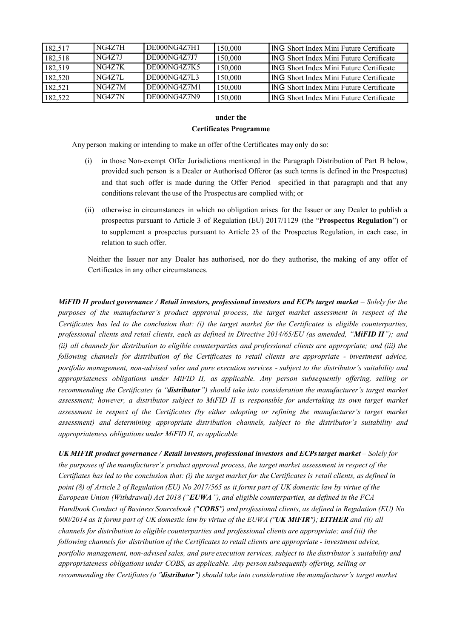| 182,517 | NG4Z7H | DE000NG4Z7H1 | 150,000 | <b>ING</b> Short Index Mini Future Certificate |
|---------|--------|--------------|---------|------------------------------------------------|
| 182,518 | NG4Z7J | DE000NG4Z7J7 | 150,000 | <b>ING</b> Short Index Mini Future Certificate |
| 182,519 | NG4Z7K | DE000NG4Z7K5 | 150,000 | <b>ING</b> Short Index Mini Future Certificate |
| 182,520 | NG4Z7L | DE000NG4Z7L3 | 150,000 | <b>ING</b> Short Index Mini Future Certificate |
| 182,521 | NG4Z7M | DE000NG4Z7M1 | 150,000 | <b>ING</b> Short Index Mini Future Certificate |
| 182,522 | NG4Z7N | DE000NG4Z7N9 | 150,000 | <b>ING</b> Short Index Mini Future Certificate |

# **under the**

#### **Certificates Programme**

Any person making or intending to make an offer of the Certificates may only do so:

- (i) in those Non-exempt Offer Jurisdictions mentioned in the Paragraph Distribution of Part B below, provided such person is a Dealer or Authorised Offeror (as such terms is defined in the Prospectus) and that such offer is made during the Offer Period specified in that paragraph and that any conditions relevant the use of the Prospectus are complied with; or
- (ii) otherwise in circumstances in which no obligation arises for the Issuer or any Dealer to publish a prospectus pursuant to Article 3 of Regulation (EU) 2017/1129 (the "**Prospectus Regulation**") or to supplement a prospectus pursuant to Article 23 of the Prospectus Regulation, in each case, in relation to such offer.

Neither the Issuer nor any Dealer has authorised, nor do they authorise, the making of any offer of Certificates in any other circumstances.

MiFID II product governance / Retail investors, professional investors and ECPs target market – Solely for the *purposes of the manufacturer's product approval process, the target market assessment in respect of the* Certificates has led to the conclusion that: (i) the target market for the Certificates is eligible counterparties, professional clients and retail clients, each as defined in Directive  $2014/65/EU$  (as amended, "MiFID II"); and (ii) all channels for distribution to eligible counterparties and professional clients are appropriate; and (iii) the *following channels for distribution of the Certificates to retail clients are appropriate - investment advice, portfolio management, non-advised sales and pure execution services - subject to the distributor's suitability and appropriateness obligations under MiFID II, as applicable. Any person subsequently offering, selling or recommending the Certificates (a "distributor") should take into consideration the manufacturer's target market assessment; however, a distributor subject to MiFID II is responsible for undertaking its own target market assessment in respect of the Certificates (by either adopting or refining the manufacturer's target market assessment) and determining appropriate distribution channels, subject to the distributor's suitability and appropriateness obligations under MiFID II, as applicable.*

*UK MIFIR product governance / Retail investors, professional investors and ECPstarget market – Solely for the purposes of the manufacturer's product approval process, the target market assessment in respect of the* Certifiates has led to the conclusion that: (i) the target market for the Certificates is retail clients, as defined in point (8) of Article 2 of Regulation (EU) No 2017/565 as it forms part of UK domestic law by virtue of the *European Union (Withdrawal) Act 2018 ("EUWA"), and eligible counterparties, as defined in the FCA* Handbook Conduct of Business Sourcebook ("COBS") and professional clients, as defined in Regulation (EU) No 600/2014 as it forms part of UK domestic law by virtue of the EUWA ("UK MiFIR"); EITHER and (ii) all *channels for distribution to eligible counterparties and professional clients are appropriate; and (iii) the following channels for distribution of the Certificates to retail clients are appropriate - investment advice, portfolio management, non-advised sales, and pure execution services, subject to the distributor's suitability and appropriateness obligations under COBS, as applicable. Any person subsequently offering, selling or recommending the Certifiates(a "distributor") should take into consideration the manufacturer's target market*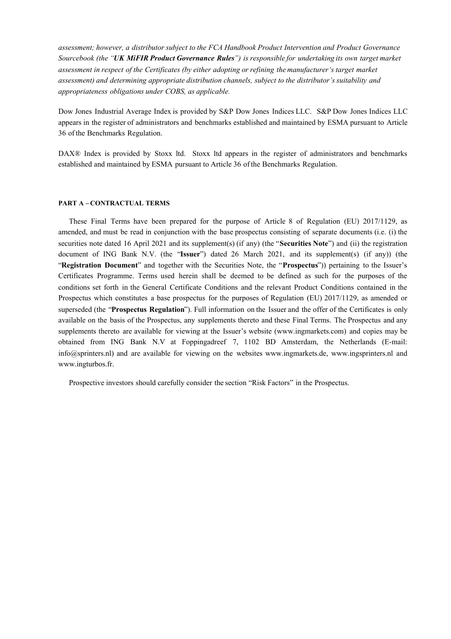*assessment; however, a distributor subject to the FCA Handbook Product Intervention and Product Governance Sourcebook (the "UK MiFIR Product Governance Rules") is responsible for undertaking its own target market assessment in respect of the Certificates (by either adopting or refining the manufacturer's target market assessment) and determining appropriate distribution channels, subject to the distributor's suitability and appropriateness obligations under COBS, as applicable.*

Dow Jones Industrial Average Index is provided by S&P Dow Jones Indices LLC. S&P Dow Jones Indices LLC appears in the register of administrators and benchmarks established and maintained by ESMA pursuant to Article 36 of the Benchmarks Regulation.

DAX® Index is provided by Stoxx ltd. Stoxx ltd appears in the register of administrators and benchmarks established and maintained by ESMA pursuant to Article 36 of the Benchmarks Regulation.

#### **PART A – CONTRACTUAL TERMS**

These Final Terms have been prepared for the purpose of Article 8 of Regulation (EU) 2017/1129, as amended, and must be read in conjunction with the base prospectus consisting of separate documents (i.e. (i) the securities note dated 16 April 2021 and its supplement(s) (if any) (the "**Securities Note**") and (ii) the registration document of ING Bank N.V. (the "**Issuer**") dated 26 March 2021, and its supplement(s) (if any)) (the "**Registration Document**" and together with the Securities Note, the "**Prospectus**")) pertaining to the Issuer's Certificates Programme. Terms used herein shall be deemed to be defined as such for the purposes of the conditions set forth in the General Certificate Conditions and the relevant Product Conditions contained in the Prospectus which constitutes a base prospectus for the purposes of Regulation (EU) 2017/1129, as amended or superseded (the "**Prospectus Regulation**"). Full information on the Issuer and the offer of the Certificates is only available on the basis of the Prospectus, any supplements thereto and these Final Terms. The Prospectus and any supplements thereto are available for viewing at the Issuer's website (www.ingmarkets.com) and copies may be obtained from ING Bank N.V at Foppingadreef 7, 1102 BD Amsterdam, the Netherlands (E-mail: info@sprinters.nl) and are available for viewing on the websites www.ingmarkets.de, www.ingsprinters.nl and www.ingturbos.fr.

Prospective investors should carefully consider the section "Risk Factors" in the Prospectus.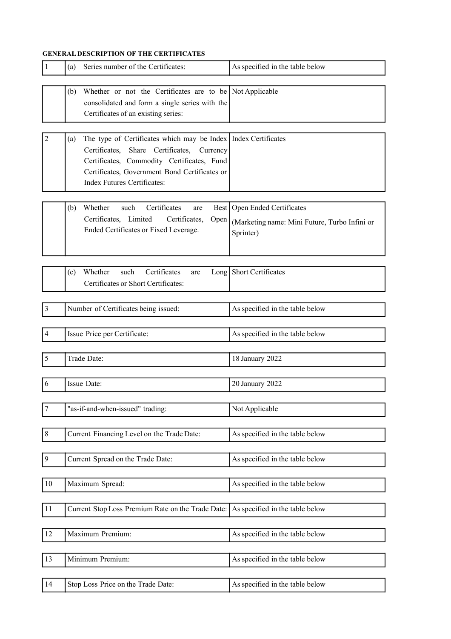### **GENERAL DESCRIPTION OF THE CERTIFICATES**

| 1                | Series number of the Certificates:<br>(a)                                                                                                                                                                                                                  | As specified in the table below                                                              |
|------------------|------------------------------------------------------------------------------------------------------------------------------------------------------------------------------------------------------------------------------------------------------------|----------------------------------------------------------------------------------------------|
|                  | Whether or not the Certificates are to be Not Applicable<br>(b)<br>consolidated and form a single series with the<br>Certificates of an existing series:                                                                                                   |                                                                                              |
| 2                | The type of Certificates which may be Index   Index Certificates<br>(a)<br>Certificates, Share Certificates, Currency<br>Certificates, Commodity Certificates, Fund<br>Certificates, Government Bond Certificates or<br><b>Index Futures Certificates:</b> |                                                                                              |
|                  | Certificates<br>Whether<br>such<br>(b)<br>are<br>Certificates, Limited<br>Certificates,<br>Open<br>Ended Certificates or Fixed Leverage.                                                                                                                   | Best   Open Ended Certificates<br>(Marketing name: Mini Future, Turbo Infini or<br>Sprinter) |
|                  | Whether<br>such<br>Certificates<br>(c)<br>are<br>Certificates or Short Certificates:                                                                                                                                                                       | Long Short Certificates                                                                      |
| $\mathfrak{Z}$   | Number of Certificates being issued:                                                                                                                                                                                                                       | As specified in the table below                                                              |
| $\overline{4}$   | Issue Price per Certificate:                                                                                                                                                                                                                               | As specified in the table below                                                              |
| 5                | Trade Date:                                                                                                                                                                                                                                                | 18 January 2022                                                                              |
| 6                | Issue Date:                                                                                                                                                                                                                                                | 20 January 2022                                                                              |
| $\boldsymbol{7}$ | "as-if-and-when-issued" trading:                                                                                                                                                                                                                           | Not Applicable                                                                               |
| $8\,$            | Current Financing Level on the Trade Date:                                                                                                                                                                                                                 | As specified in the table below                                                              |
| $\boldsymbol{9}$ | Current Spread on the Trade Date:                                                                                                                                                                                                                          | As specified in the table below                                                              |
| 10               | Maximum Spread:                                                                                                                                                                                                                                            | As specified in the table below                                                              |
| 11               | Current Stop Loss Premium Rate on the Trade Date:                                                                                                                                                                                                          | As specified in the table below                                                              |
| 12               | Maximum Premium:                                                                                                                                                                                                                                           | As specified in the table below                                                              |
| 13               | Minimum Premium:                                                                                                                                                                                                                                           | As specified in the table below                                                              |
| 14               | Stop Loss Price on the Trade Date:                                                                                                                                                                                                                         | As specified in the table below                                                              |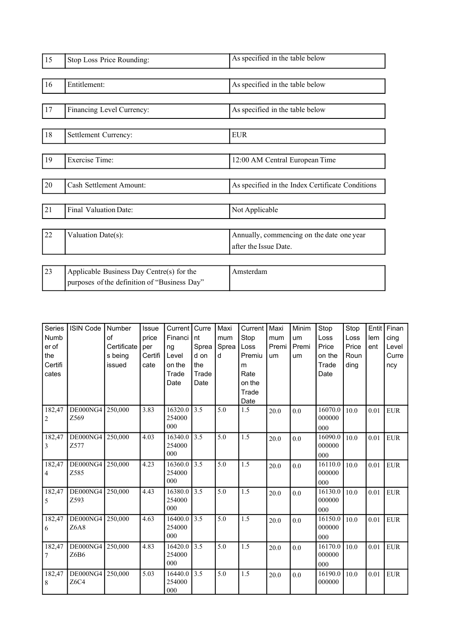| 15 | Stop Loss Price Rounding:                                                                 | As specified in the table below                                    |
|----|-------------------------------------------------------------------------------------------|--------------------------------------------------------------------|
| 16 | Entitlement:                                                                              | As specified in the table below                                    |
| 17 | Financing Level Currency:                                                                 | As specified in the table below                                    |
| 18 | Settlement Currency:                                                                      | <b>EUR</b>                                                         |
| 19 | <b>Exercise Time:</b>                                                                     | 12:00 AM Central European Time                                     |
| 20 | Cash Settlement Amount:                                                                   | As specified in the Index Certificate Conditions                   |
| 21 | Final Valuation Date:                                                                     | Not Applicable                                                     |
| 22 | Valuation Date(s):                                                                        | Annually, commencing on the date one year<br>after the Issue Date. |
| 23 | Applicable Business Day Centre(s) for the<br>purposes of the definition of "Business Day" | Amsterdam                                                          |

| <b>Series</b><br>Numb<br>er of<br>the<br>Certifi<br>cates | <b>ISIN Code</b> | Number<br>of<br>Certificate<br>s being<br>issued | Issue<br>price<br>per<br>Certifi<br>cate | Current   Curre<br>Financi<br>ng<br>Level<br>on the<br>Trade<br>Date | nt<br>Sprea<br>d on<br>the<br>Trade<br>Date | Maxi<br>mum<br>Sprea<br>d | Current  <br>Stop<br>Loss<br>Premiu<br>m<br>Rate<br>on the<br>Trade<br>Date | Maxi<br>mum<br>Premi<br>um | Minim<br>um<br>Premi<br>um | Stop<br>Loss<br>Price<br>on the<br>Trade<br>Date | Stop<br>Loss<br>Price<br>Roun<br>ding | Entit<br>lem<br>ent | Finan<br>cing<br>Level<br>Curre<br>ncy |
|-----------------------------------------------------------|------------------|--------------------------------------------------|------------------------------------------|----------------------------------------------------------------------|---------------------------------------------|---------------------------|-----------------------------------------------------------------------------|----------------------------|----------------------------|--------------------------------------------------|---------------------------------------|---------------------|----------------------------------------|
| 182,47<br>2                                               | DE000NG4<br>Z569 | 250,000                                          | 3.83                                     | 16320.0<br>254000<br>000                                             | $\overline{3.5}$                            | 5.0                       | 1.5                                                                         | 20.0                       | 0.0                        | 16070.0<br>000000<br>000                         | 10.0                                  | 0.01                | <b>EUR</b>                             |
| 182,47<br>3                                               | DE000NG4<br>Z577 | 250,000                                          | 4.03                                     | 16340.0<br>254000<br>000                                             | $\overline{3.5}$                            | 5.0                       | 1.5                                                                         | 20.0                       | 0.0                        | 16090.0<br>000000<br>000                         | 10.0                                  | 0.01                | <b>EUR</b>                             |
| 182,47<br>4                                               | DE000NG4<br>Z585 | 250,000                                          | 4.23                                     | 16360.0<br>254000<br>000                                             | 3.5                                         | 5.0                       | 1.5                                                                         | 20.0                       | 0.0                        | 16110.0<br>000000<br>000                         | 10.0                                  | 0.01                | <b>EUR</b>                             |
| 182,47<br>5                                               | DE000NG4<br>Z593 | 250.000                                          | 4.43                                     | 16380.0<br>254000<br>000                                             | 3.5                                         | 5.0                       | 1.5                                                                         | 20.0                       | 0.0                        | 16130.0<br>000000<br>000                         | 10.0                                  | 0.01                | <b>EUR</b>                             |
| 182,47<br>6                                               | DE000NG4<br>Z6A8 | 250,000                                          | 4.63                                     | 16400.0<br>254000<br>000                                             | 3.5                                         | 5.0                       | 1.5                                                                         | 20.0                       | 0.0                        | 16150.0<br>000000<br>000                         | 10.0                                  | 0.01                | <b>EUR</b>                             |
| 182,47<br>7                                               | DE000NG4<br>Z6B6 | 250,000                                          | 4.83                                     | 16420.0<br>254000<br>000                                             | 3.5                                         | 5.0                       | 1.5                                                                         | 20.0                       | 0.0                        | 16170.0<br>000000<br>000                         | 10.0                                  | 0.01                | <b>EUR</b>                             |
| 182,47<br>8                                               | DE000NG4<br>Z6C4 | 250,000                                          | 5.03                                     | 16440.0<br>254000<br>000                                             | 3.5                                         | 5.0                       | 1.5                                                                         | 20.0                       | 0.0                        | 16190.0<br>000000                                | 10.0                                  | 0.01                | <b>EUR</b>                             |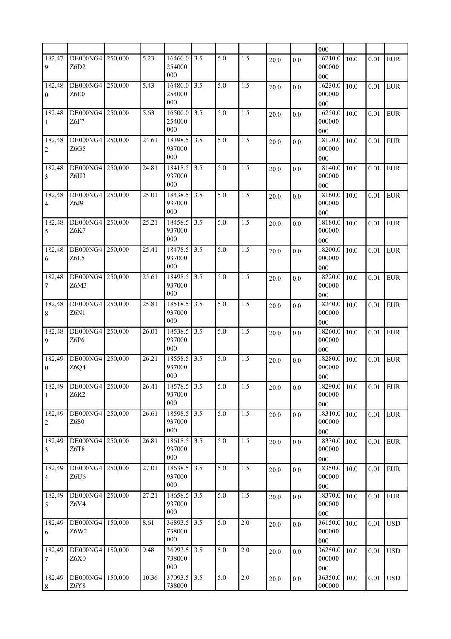|                           |                          |         |       |                          |      |     |     |      |         | 000                      |          |            |              |
|---------------------------|--------------------------|---------|-------|--------------------------|------|-----|-----|------|---------|--------------------------|----------|------------|--------------|
| 182,47<br>9               | DE000NG4<br>Z6D2         | 250,000 | 5.23  | 16460.0<br>254000<br>000 | 3.5  | 5.0 | 1.5 | 20.0 | 0.0     | 16210.0<br>000000<br>000 | 10.0     | 0.01       | <b>EUR</b>   |
| 182,48<br>$\mathbf{0}$    | DE000NG4<br>Z6E0         | 250,000 | 5.43  | 16480.0<br>254000<br>000 | 3.5  | 5.0 | 1.5 | 20.0 | 0.0     | 16230.0<br>000000<br>000 | 10.0     | 0.01       | <b>EUR</b>   |
| 182,48<br>1               | DE000NG4<br>Z6F7         | 250,000 | 5.63  | 16500.0<br>254000<br>000 | 3.5  | 5.0 | 1.5 | 20.0 | 0.0     | 16250.0<br>000000<br>000 | 10.0     | 0.01       | <b>EUR</b>   |
| 182,48<br>2               | DE000NG4<br>Z6G5         | 250,000 | 24.61 | 18398.5<br>937000<br>000 | 3.5  | 5.0 | 1.5 | 20.0 | 0.0     | 18120.0<br>000000<br>000 | 10.0     | 0.01       | <b>EUR</b>   |
| 182,48<br>3               | DE000NG4<br>Z6H3         | 250,000 | 24.81 | 18418.5<br>937000<br>000 | 3.5  | 5.0 | 1.5 | 20.0 | 0.0     | 18140.0<br>000000<br>000 | 10.0     | 0.01       | <b>EUR</b>   |
| 182,48<br>4               | DE000NG4<br>Z6J9         | 250,000 | 25.01 | 18438.5<br>937000<br>000 | 3.5  | 5.0 | 1.5 | 20.0 | 0.0     | 18160.0<br>000000<br>000 | 10.0     | 0.01       | <b>EUR</b>   |
| 182,48<br>5               | DE000NG4<br>Z6K7         | 250,000 | 25.21 | 18458.5<br>937000<br>000 | 3.5  | 5.0 | 1.5 | 20.0 | 0.0     | 18180.0<br>000000<br>000 | 10.0     | 0.01       | <b>EUR</b>   |
| 182,48<br>6               | DE000NG4<br>Z6L5         | 250,000 | 25.41 | 18478.5<br>937000<br>000 | 3.5  | 5.0 | 1.5 | 20.0 | 0.0     | 18200.0<br>000000<br>000 | 10.0     | 0.01       | <b>EUR</b>   |
| 182,48<br>7               | DE000NG4<br>Z6M3         | 250,000 | 25.61 | 18498.5<br>937000<br>000 | 3.5  | 5.0 | 1.5 | 20.0 | 0.0     | 18220.0<br>000000<br>000 | 10.0     | 0.01       | <b>EUR</b>   |
| 182,48<br>8               | DE000NG4<br>Z6N1         | 250,000 | 25.81 | 18518.5<br>937000<br>000 | 3.5  | 5.0 | 1.5 | 20.0 | 0.0     | 18240.0<br>000000<br>000 | 10.0     | 0.01       | <b>EUR</b>   |
| 182,48<br>9               | DE000NG4<br>Z6P6         | 250,000 | 26.01 | 18538.5<br>937000<br>000 | 3.5  | 5.0 | 1.5 | 20.0 | 0.0     | 18260.0<br>000000<br>000 | 10.0     | 0.01       | <b>EUR</b>   |
| 182,49<br>$\overline{0}$  | DE000NG4<br>Z6Q4         | 250,000 | 26.21 | 18558.5<br>937000<br>000 | 3.5  | 5.0 | 1.5 | 20.0 | 0.0     | 18280.0<br>000000<br>000 | 10.0     | 0.01       | <b>EUR</b>   |
| 182,49<br>$\mathbf{1}$    | DE000NG4 250,000<br>Z6R2 |         | 26.41 | 18578.5<br>937000<br>000 | 13.5 | 5.0 | 1.5 | 20.0 | 0.0     | 18290.0<br>000000<br>000 | 10.0     | $0.01$ EUR |              |
| 182,49<br>2               | DE000NG4<br>Z6S0         | 250,000 | 26.61 | 18598.5<br>937000<br>000 | 3.5  | 5.0 | 1.5 | 20.0 | 0.0     | 18310.0<br>000000<br>000 | 10.0     | 0.01       | ${\rm EUR}$  |
| 182,49<br>$\vert 3 \vert$ | DE000NG4<br>Z6T8         | 250,000 | 26.81 | 18618.5<br>937000<br>000 | 3.5  | 5.0 | 1.5 | 20.0 | 0.0     | 18330.0<br>000000<br>000 | 10.0     | 0.01       | ${\rm EUR}$  |
| 182,49<br>4               | DE000NG4<br>Z6U6         | 250,000 | 27.01 | 18638.5<br>937000<br>000 | 3.5  | 5.0 | 1.5 | 20.0 | 0.0     | 18350.0<br>000000<br>000 | 10.0     | 0.01       | ${\rm EUR}$  |
| 182,49<br>5               | DE000NG4<br>Z6V4         | 250,000 | 27.21 | 18658.5<br>937000<br>000 | 3.5  | 5.0 | 1.5 | 20.0 | 0.0     | 18370.0<br>000000<br>000 | $10.0\,$ | 0.01       | ${\rm EUR}$  |
| 182,49<br>  6             | DE000NG4<br>Z6W2         | 150,000 | 8.61  | 36893.5<br>738000<br>000 | 3.5  | 5.0 | 2.0 | 20.0 | 0.0     | 36150.0<br>000000<br>000 | 10.0     | 0.01       | <b>USD</b>   |
| 182,49<br>7               | DE000NG4<br>Z6X0         | 150,000 | 9.48  | 36993.5<br>738000<br>000 | 3.5  | 5.0 | 2.0 | 20.0 | 0.0     | 36250.0<br>000000<br>000 | 10.0     | 0.01       | <b>USD</b>   |
| 182,49<br>8               | DE000NG4<br>Z6Y8         | 150,000 | 10.36 | 37093.5<br>738000        | 3.5  | 5.0 | 2.0 | 20.0 | $0.0\,$ | 36350.0<br>000000        | 10.0     | $0.01\,$   | $_{\rm USD}$ |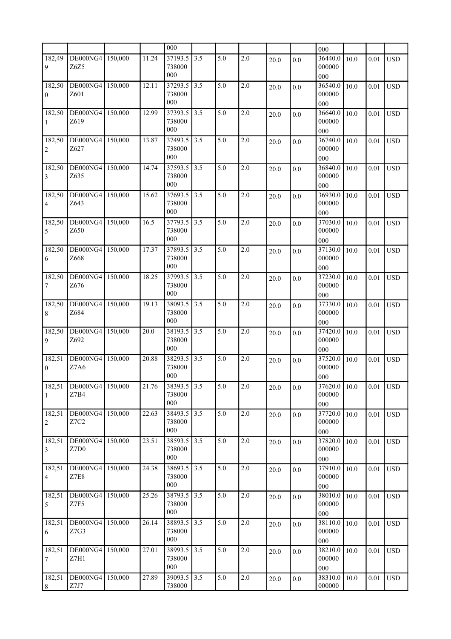|                            |                  |         |       | 000               |       |     |         |      |     | 000               |      |          |            |
|----------------------------|------------------|---------|-------|-------------------|-------|-----|---------|------|-----|-------------------|------|----------|------------|
| 182,49                     | DE000NG4         | 150,000 | 11.24 | 37193.5           | 3.5   | 5.0 | 2.0     | 20.0 | 0.0 | 36440.0           | 10.0 | 0.01     | <b>USD</b> |
| 9                          | Z6Z5             |         |       | 738000            |       |     |         |      |     | 000000            |      |          |            |
|                            |                  |         |       | 000               |       |     |         |      |     | 000               |      |          |            |
| 182,50                     | DE000NG4<br>Z601 | 150,000 | 12.11 | 37293.5<br>738000 | 3.5   | 5.0 | 2.0     | 20.0 | 0.0 | 36540.0<br>000000 | 10.0 | 0.01     | <b>USD</b> |
| $\boldsymbol{0}$           |                  |         |       | 000               |       |     |         |      |     | 000               |      |          |            |
| 182,50                     | DE000NG4         | 150,000 | 12.99 | 37393.5           | 3.5   | 5.0 | 2.0     | 20.0 | 0.0 | 36640.0           | 10.0 | 0.01     | <b>USD</b> |
| 1                          | Z619             |         |       | 738000            |       |     |         |      |     | 000000            |      |          |            |
|                            |                  |         |       | 000               |       |     |         |      |     | 000               |      |          |            |
| 182,50                     | DE000NG4         | 150,000 | 13.87 | 37493.5           | 3.5   | 5.0 | 2.0     | 20.0 | 0.0 | 36740.0           | 10.0 | 0.01     | <b>USD</b> |
| 2                          | Z627             |         |       | 738000<br>000     |       |     |         |      |     | 000000            |      |          |            |
| 182,50                     | DE000NG4         | 150,000 | 14.74 | 37593.5           | 3.5   | 5.0 | 2.0     |      |     | 000<br>36840.0    |      |          |            |
| 3                          | Z635             |         |       | 738000            |       |     |         | 20.0 | 0.0 | 000000            | 10.0 | 0.01     | <b>USD</b> |
|                            |                  |         |       | 000               |       |     |         |      |     | 000               |      |          |            |
| 182,50                     | DE000NG4         | 150,000 | 15.62 | 37693.5           | 3.5   | 5.0 | 2.0     | 20.0 | 0.0 | 36930.0           | 10.0 | 0.01     | <b>USD</b> |
| 4                          | Z643             |         |       | 738000            |       |     |         |      |     | 000000            |      |          |            |
|                            |                  |         |       | 000               |       |     |         |      |     | 000               |      |          |            |
| 182,50                     | DE000NG4<br>Z650 | 150,000 | 16.5  | 37793.5<br>738000 | 3.5   | 5.0 | 2.0     | 20.0 | 0.0 | 37030.0<br>000000 | 10.0 | 0.01     | <b>USD</b> |
| 5                          |                  |         |       | 000               |       |     |         |      |     | 000               |      |          |            |
| 182,50                     | DE000NG4         | 150,000 | 17.37 | 37893.5           | 3.5   | 5.0 | 2.0     | 20.0 | 0.0 | 37130.0           | 10.0 | 0.01     | <b>USD</b> |
| 6                          | Z668             |         |       | 738000            |       |     |         |      |     | 000000            |      |          |            |
|                            |                  |         |       | 000               |       |     |         |      |     | 000               |      |          |            |
| 182,50                     | DE000NG4         | 150,000 | 18.25 | 37993.5           | 3.5   | 5.0 | 2.0     | 20.0 | 0.0 | 37230.0           | 10.0 | 0.01     | <b>USD</b> |
| 7                          | Z <sub>676</sub> |         |       | 738000<br>000     |       |     |         |      |     | 000000            |      |          |            |
| 182,50                     | DE000NG4         | 150,000 | 19.13 | 38093.5           | 3.5   | 5.0 | 2.0     |      |     | 000<br>37330.0    | 10.0 |          | <b>USD</b> |
| 8                          | Z684             |         |       | 738000            |       |     |         | 20.0 | 0.0 | 000000            |      | 0.01     |            |
|                            |                  |         |       | 000               |       |     |         |      |     | 000               |      |          |            |
| 182,50                     | DE000NG4         | 150,000 | 20.0  | 38193.5           | 3.5   | 5.0 | 2.0     | 20.0 | 0.0 | 37420.0           | 10.0 | 0.01     | <b>USD</b> |
| 9                          | Z692             |         |       | 738000            |       |     |         |      |     | 000000            |      |          |            |
|                            |                  |         |       | 000               |       |     |         |      |     | 000               |      |          |            |
| 182,51<br>$\boldsymbol{0}$ | DE000NG4<br>Z7A6 | 150,000 | 20.88 | 38293.5<br>738000 | 3.5   | 5.0 | 2.0     | 20.0 | 0.0 | 37520.0<br>000000 | 10.0 | 0.01     | <b>USD</b> |
|                            |                  |         |       | 000               |       |     |         |      |     | 000               |      |          |            |
| 182,51                     | DE000NG4 150,000 |         | 21.76 | 38393.5 3.5       |       | 5.0 | 2.0     | 20.0 | 0.0 | 37620.0           | 10.0 | 0.01     | <b>USD</b> |
| $\mathbf{1}$               | Z7B4             |         |       | 738000            |       |     |         |      |     | 000000            |      |          |            |
|                            |                  |         |       | 000               |       |     |         |      |     | 000               |      |          |            |
| 182,51                     | DE000NG4<br>Z7C2 | 150,000 | 22.63 | 38493.5<br>738000 | 3.5   | 5.0 | 2.0     | 20.0 | 0.0 | 37720.0<br>000000 | 10.0 | 0.01     | <b>USD</b> |
| $\overline{2}$             |                  |         |       | 000               |       |     |         |      |     | 000               |      |          |            |
| 182,51                     | DE000NG4         | 150,000 | 23.51 | 38593.5           | $3.5$ | 5.0 | 2.0     | 20.0 | 0.0 | 37820.0           | 10.0 | 0.01     | <b>USD</b> |
| $\vert 3 \vert$            | Z7D0             |         |       | 738000            |       |     |         |      |     | 000000            |      |          |            |
|                            |                  |         |       | 000               |       |     |         |      |     | $000\,$           |      |          |            |
| 182,51                     | DE000NG4         | 150,000 | 24.38 | 38693.5           | 3.5   | 5.0 | 2.0     | 20.0 | 0.0 | 37910.0           | 10.0 | 0.01     | <b>USD</b> |
| 4                          | Z7E8             |         |       | 738000<br>000     |       |     |         |      |     | 000000            |      |          |            |
| 182,51                     | DE000NG4         | 150,000 | 25.26 | 38793.5           | 3.5   | 5.0 | 2.0     | 20.0 | 0.0 | 000<br>38010.0    | 10.0 | 0.01     | <b>USD</b> |
| $\mathfrak{S}$             | Z7F5             |         |       | 738000            |       |     |         |      |     | 000000            |      |          |            |
|                            |                  |         |       | 000               |       |     |         |      |     | 000               |      |          |            |
| 182,51                     | DE000NG4         | 150,000 | 26.14 | 38893.5           | 3.5   | 5.0 | 2.0     | 20.0 | 0.0 | 38110.0           | 10.0 | 0.01     | <b>USD</b> |
| 6                          | Z7G3             |         |       | 738000            |       |     |         |      |     | 000000            |      |          |            |
| 182,51                     |                  |         | 27.01 | 000               |       | 5.0 | 2.0     |      |     | 000<br>38210.0    |      |          |            |
| 7                          | DE000NG4<br>Z7H1 | 150,000 |       | 38993.5<br>738000 | $3.5$ |     |         | 20.0 | 0.0 | 000000            | 10.0 | $0.01\,$ | <b>USD</b> |
|                            |                  |         |       | 000               |       |     |         |      |     | 000               |      |          |            |
| 182,51                     | DE000NG4         | 150,000 | 27.89 | 39093.5           | $3.5$ | 5.0 | $2.0\,$ | 20.0 | 0.0 | 38310.0           | 10.0 | $0.01\,$ | <b>USD</b> |
| 8                          | Z7J7             |         |       | 738000            |       |     |         |      |     | 000000            |      |          |            |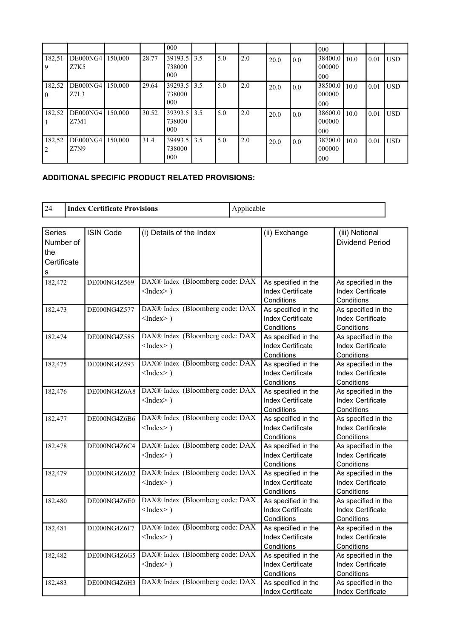|                    |                  |         |       | 000                                      |      |     |     |      |     | 000                      |      |      |            |
|--------------------|------------------|---------|-------|------------------------------------------|------|-----|-----|------|-----|--------------------------|------|------|------------|
| 182,51<br>9        | DE000NG4<br>Z7K5 | 150.000 | 28.77 | $39193.5$ 3.5<br>738000<br>$000^{\circ}$ |      | 5.0 | 2.0 | 20.0 | 0.0 | 38400.0<br>000000<br>000 | 10.0 | 0.01 | <b>USD</b> |
| 182,52<br>$\Omega$ | DE000NG4<br>Z7L3 | 150,000 | 29.64 | 39293.5 3.5<br>738000<br>000             |      | 5.0 | 2.0 | 20.0 | 0.0 | 38500.0<br>000000<br>000 | 10.0 | 0.01 | <b>USD</b> |
| 182,52             | DE000NG4<br>Z7M1 | 150.000 | 30.52 | 39393.5 3.5<br>738000<br>000             |      | 5.0 | 2.0 | 20.0 | 0.0 | 38600.0<br>000000<br>000 | 10.0 | 0.01 | <b>USD</b> |
| 182,52             | DE000NG4<br>Z7N9 | 150.000 | 31.4  | 39493.5<br>738000<br>000                 | 13.5 | 5.0 | 2.0 | 20.0 | 0.0 | 38700.0<br>000000<br>000 | 10.0 | 0.01 | <b>USD</b> |

## **ADDITIONAL SPECIFIC PRODUCT RELATED PROVISIONS:**

| 24                                                    | <b>Index Certificate Provisions</b> |                                                    | Applicable |                                                               |                                                               |  |  |
|-------------------------------------------------------|-------------------------------------|----------------------------------------------------|------------|---------------------------------------------------------------|---------------------------------------------------------------|--|--|
|                                                       |                                     |                                                    |            |                                                               |                                                               |  |  |
| <b>Series</b><br>Number of<br>the<br>Certificate<br>S | <b>ISIN Code</b>                    | (i) Details of the Index                           |            | (ii) Exchange                                                 | (iii) Notional<br><b>Dividend Period</b>                      |  |  |
| 182,472                                               | DE000NG4Z569                        | DAX® Index (Bloomberg code: DAX<br>$<$ Index $>$ ) |            | As specified in the<br><b>Index Certificate</b><br>Conditions | As specified in the<br>Index Certificate<br>Conditions        |  |  |
| 182,473                                               | DE000NG4Z577                        | DAX® Index (Bloomberg code: DAX<br>$<$ Index $>$ ) |            | As specified in the<br>Index Certificate<br>Conditions        | As specified in the<br>Index Certificate<br>Conditions        |  |  |
| 182,474                                               | DE000NG4Z585                        | DAX® Index (Bloomberg code: DAX<br>$<$ Index $>$ ) |            | As specified in the<br><b>Index Certificate</b><br>Conditions | As specified in the<br>Index Certificate<br>Conditions        |  |  |
| 182,475                                               | DE000NG4Z593                        | DAX® Index (Bloomberg code: DAX<br>$<$ Index $>$ ) |            | As specified in the<br>Index Certificate<br>Conditions        | As specified in the<br>Index Certificate<br>Conditions        |  |  |
| 182,476                                               | DE000NG4Z6A8                        | DAX® Index (Bloomberg code: DAX<br>$<$ Index $>$ ) |            | As specified in the<br><b>Index Certificate</b><br>Conditions | As specified in the<br><b>Index Certificate</b><br>Conditions |  |  |
| 182,477                                               | DE000NG4Z6B6                        | DAX® Index (Bloomberg code: DAX<br>$<$ Index $>$ ) |            | As specified in the<br>Index Certificate<br>Conditions        | As specified in the<br>Index Certificate<br>Conditions        |  |  |
| 182,478                                               | DE000NG4Z6C4                        | DAX® Index (Bloomberg code: DAX<br>$<$ Index $>$ ) |            | As specified in the<br><b>Index Certificate</b><br>Conditions | As specified in the<br><b>Index Certificate</b><br>Conditions |  |  |
| 182,479                                               | DE000NG4Z6D2                        | DAX® Index (Bloomberg code: DAX<br>$<$ Index $>$ ) |            | As specified in the<br><b>Index Certificate</b><br>Conditions | As specified in the<br>Index Certificate<br>Conditions        |  |  |
| 182,480                                               | DE000NG4Z6E0                        | DAX® Index (Bloomberg code: DAX<br>$<$ Index $>$ ) |            | As specified in the<br>Index Certificate<br>Conditions        | As specified in the<br>Index Certificate<br>Conditions        |  |  |
| 182,481                                               | DE000NG4Z6F7                        | DAX® Index (Bloomberg code: DAX<br>$<$ Index $>$ ) |            | As specified in the<br><b>Index Certificate</b><br>Conditions | As specified in the<br><b>Index Certificate</b><br>Conditions |  |  |
| 182,482                                               | DE000NG4Z6G5                        | DAX® Index (Bloomberg code: DAX<br>$<$ Index $>$ ) |            | As specified in the<br><b>Index Certificate</b><br>Conditions | As specified in the<br>Index Certificate<br>Conditions        |  |  |
| 182,483                                               | DE000NG4Z6H3                        | DAX® Index (Bloomberg code: DAX                    |            | As specified in the<br><b>Index Certificate</b>               | As specified in the<br>Index Certificate                      |  |  |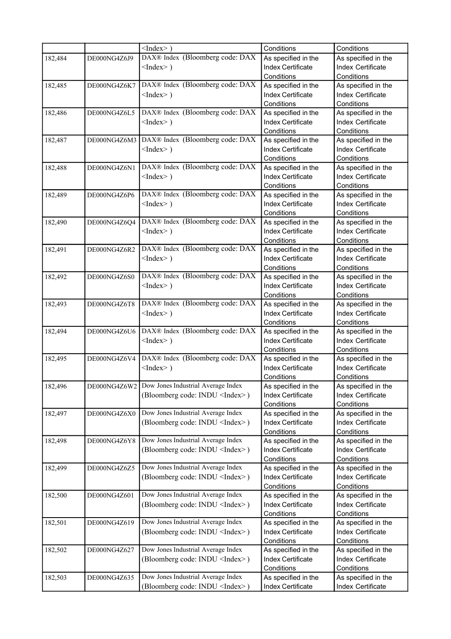|         |              | $<$ Index $>$ )                        | Conditions                               | Conditions                               |
|---------|--------------|----------------------------------------|------------------------------------------|------------------------------------------|
| 182,484 | DE000NG4Z6J9 | DAX® Index (Bloomberg code: DAX        | As specified in the                      | As specified in the                      |
|         |              | $<$ Index $>$ )                        | Index Certificate                        | Index Certificate                        |
|         |              |                                        | Conditions                               | Conditions                               |
| 182,485 | DE000NG4Z6K7 | DAX® Index (Bloomberg code: DAX        | As specified in the                      | As specified in the                      |
|         |              | $<$ Index $>$ )                        | Index Certificate                        | Index Certificate                        |
|         |              |                                        | Conditions                               | Conditions                               |
| 182,486 | DE000NG4Z6L5 | DAX® Index (Bloomberg code: DAX        | As specified in the                      | As specified in the                      |
|         |              | $<$ Index $>$ )                        | Index Certificate                        | Index Certificate                        |
|         |              |                                        | Conditions                               | Conditions                               |
| 182,487 | DE000NG4Z6M3 | DAX® Index (Bloomberg code: DAX        | As specified in the                      | As specified in the                      |
|         |              | $<$ Index $>$ )                        | Index Certificate                        | Index Certificate                        |
|         |              |                                        | Conditions                               | Conditions                               |
| 182,488 | DE000NG4Z6N1 | DAX® Index (Bloomberg code: DAX        | As specified in the                      | As specified in the                      |
|         |              | $<$ Index $>$ )                        | Index Certificate                        | <b>Index Certificate</b>                 |
|         |              |                                        | Conditions                               | Conditions                               |
| 182,489 | DE000NG4Z6P6 | DAX® Index (Bloomberg code: DAX        | As specified in the                      | As specified in the                      |
|         |              | $<$ Index $>$ )                        | <b>Index Certificate</b>                 | <b>Index Certificate</b>                 |
|         |              |                                        | Conditions                               | Conditions                               |
| 182,490 | DE000NG4Z6Q4 | DAX® Index (Bloomberg code: DAX        | As specified in the                      | As specified in the                      |
|         |              | $<$ Index $>$ )                        | <b>Index Certificate</b>                 | <b>Index Certificate</b>                 |
|         |              |                                        | Conditions                               | Conditions                               |
| 182,491 | DE000NG4Z6R2 | DAX® Index (Bloomberg code: DAX        | As specified in the                      | As specified in the                      |
|         |              | $<$ Index $>$ )                        | Index Certificate                        | <b>Index Certificate</b>                 |
|         |              |                                        | Conditions                               | Conditions                               |
| 182,492 | DE000NG4Z6S0 | DAX® Index (Bloomberg code: DAX        | As specified in the                      | As specified in the                      |
|         |              | $<$ Index $>$ )                        | <b>Index Certificate</b>                 | <b>Index Certificate</b>                 |
|         |              |                                        | Conditions                               | Conditions                               |
| 182,493 | DE000NG4Z6T8 | DAX® Index (Bloomberg code: DAX        | As specified in the                      | As specified in the                      |
|         |              | $<$ Index $>$ )                        | <b>Index Certificate</b>                 | <b>Index Certificate</b>                 |
|         |              |                                        | Conditions                               | Conditions                               |
| 182,494 | DE000NG4Z6U6 | DAX® Index (Bloomberg code: DAX        | As specified in the                      | As specified in the                      |
|         |              | $<$ Index $>$ )                        | <b>Index Certificate</b>                 | <b>Index Certificate</b>                 |
|         |              |                                        | Conditions                               | Conditions                               |
| 182,495 | DE000NG4Z6V4 | DAX® Index (Bloomberg code: DAX        | As specified in the                      | As specified in the                      |
|         |              | $<$ Index $>$ )                        | <b>Index Certificate</b>                 | Index Certificate                        |
|         |              |                                        | Conditions                               | Conditions                               |
| 182,496 | DE000NG4Z6W2 | Dow Jones Industrial Average Index     | As specified in the                      | As specified in the                      |
|         |              | (Bloomberg code: INDU <index>)</index> | Index Certificate                        | Index Certificate                        |
|         |              |                                        | Conditions                               | Conditions                               |
| 182,497 | DE000NG4Z6X0 | Dow Jones Industrial Average Index     | As specified in the                      | As specified in the                      |
|         |              | (Bloomberg code: INDU <index>)</index> | Index Certificate                        | Index Certificate                        |
|         |              |                                        | Conditions                               | Conditions                               |
| 182,498 | DE000NG4Z6Y8 | Dow Jones Industrial Average Index     | As specified in the                      | As specified in the                      |
|         |              | (Bloomberg code: INDU <index>)</index> | Index Certificate                        | Index Certificate                        |
|         |              |                                        | Conditions                               | Conditions                               |
| 182,499 | DE000NG4Z6Z5 | Dow Jones Industrial Average Index     | As specified in the                      | As specified in the                      |
|         |              | (Bloomberg code: INDU <index>)</index> | Index Certificate                        | Index Certificate                        |
|         |              |                                        | Conditions                               | Conditions                               |
| 182,500 | DE000NG4Z601 | Dow Jones Industrial Average Index     | As specified in the                      | As specified in the                      |
|         |              |                                        | Index Certificate                        | Index Certificate                        |
|         |              | (Bloomberg code: INDU <index>)</index> | Conditions                               | Conditions                               |
| 182,501 | DE000NG4Z619 | Dow Jones Industrial Average Index     | As specified in the                      | As specified in the                      |
|         |              |                                        | Index Certificate                        | Index Certificate                        |
|         |              | (Bloomberg code: INDU <index>)</index> | Conditions                               |                                          |
|         | DE000NG4Z627 | Dow Jones Industrial Average Index     |                                          | Conditions                               |
| 182,502 |              |                                        | As specified in the<br>Index Certificate | As specified in the<br>Index Certificate |
|         |              | (Bloomberg code: INDU <index>)</index> | Conditions                               |                                          |
|         |              | Dow Jones Industrial Average Index     |                                          | Conditions                               |
| 182,503 | DE000NG4Z635 |                                        | As specified in the                      | As specified in the                      |
|         |              | (Bloomberg code: INDU <index>)</index> | Index Certificate                        | Index Certificate                        |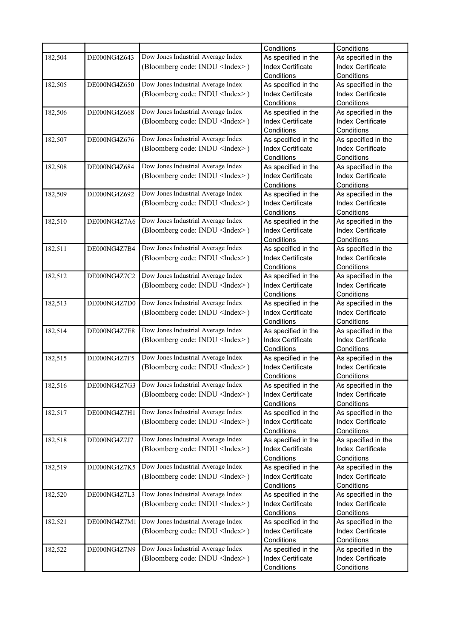|         |              |                                        | Conditions               | Conditions               |
|---------|--------------|----------------------------------------|--------------------------|--------------------------|
| 182,504 | DE000NG4Z643 | Dow Jones Industrial Average Index     | As specified in the      | As specified in the      |
|         |              | (Bloomberg code: INDU <index>)</index> | <b>Index Certificate</b> | Index Certificate        |
|         |              |                                        | Conditions               | Conditions               |
| 182,505 | DE000NG4Z650 | Dow Jones Industrial Average Index     | As specified in the      | As specified in the      |
|         |              | (Bloomberg code: INDU <index>)</index> | <b>Index Certificate</b> | Index Certificate        |
|         |              |                                        | Conditions               | Conditions               |
| 182,506 | DE000NG4Z668 | Dow Jones Industrial Average Index     | As specified in the      | As specified in the      |
|         |              | (Bloomberg code: INDU <index>)</index> | Index Certificate        | <b>Index Certificate</b> |
|         |              |                                        | Conditions               | Conditions               |
| 182,507 | DE000NG4Z676 | Dow Jones Industrial Average Index     | As specified in the      | As specified in the      |
|         |              | (Bloomberg code: INDU <index>)</index> | Index Certificate        | <b>Index Certificate</b> |
|         |              |                                        | Conditions               | Conditions               |
| 182,508 | DE000NG4Z684 | Dow Jones Industrial Average Index     | As specified in the      | As specified in the      |
|         |              | (Bloomberg code: INDU <index>)</index> | Index Certificate        | <b>Index Certificate</b> |
|         |              |                                        | Conditions               | Conditions               |
| 182,509 | DE000NG4Z692 | Dow Jones Industrial Average Index     | As specified in the      | As specified in the      |
|         |              | (Bloomberg code: INDU <index>)</index> | Index Certificate        | <b>Index Certificate</b> |
|         |              |                                        | Conditions               | Conditions               |
| 182,510 | DE000NG4Z7A6 | Dow Jones Industrial Average Index     | As specified in the      | As specified in the      |
|         |              | (Bloomberg code: INDU <index>)</index> | <b>Index Certificate</b> | <b>Index Certificate</b> |
|         |              |                                        | Conditions               | Conditions               |
| 182,511 | DE000NG4Z7B4 | Dow Jones Industrial Average Index     | As specified in the      | As specified in the      |
|         |              | (Bloomberg code: INDU <index>)</index> | <b>Index Certificate</b> | <b>Index Certificate</b> |
|         |              |                                        | Conditions               | Conditions               |
| 182,512 | DE000NG4Z7C2 | Dow Jones Industrial Average Index     | As specified in the      | As specified in the      |
|         |              | (Bloomberg code: INDU <index>)</index> | <b>Index Certificate</b> | <b>Index Certificate</b> |
|         |              |                                        | Conditions               | Conditions               |
| 182,513 | DE000NG4Z7D0 | Dow Jones Industrial Average Index     | As specified in the      | As specified in the      |
|         |              | (Bloomberg code: INDU <index>)</index> | <b>Index Certificate</b> | <b>Index Certificate</b> |
|         |              |                                        | Conditions               | Conditions               |
| 182,514 | DE000NG4Z7E8 | Dow Jones Industrial Average Index     | As specified in the      | As specified in the      |
|         |              | (Bloomberg code: INDU <index>)</index> | Index Certificate        | <b>Index Certificate</b> |
|         |              |                                        | Conditions               | Conditions               |
| 182,515 | DE000NG4Z7F5 | Dow Jones Industrial Average Index     | As specified in the      | As specified in the      |
|         |              | (Bloomberg code: INDU <index>)</index> | <b>Index Certificate</b> | <b>Index Certificate</b> |
|         |              |                                        | Conditions               | Conditions               |
| 182,516 | DE000NG4Z7G3 | Dow Jones Industrial Average Index     | As specified in the      | As specified in the      |
|         |              | (Bloomberg code: INDU <index>)</index> | Index Certificate        | Index Certificate        |
|         |              |                                        | Conditions               | Conditions               |
| 182,517 | DE000NG4Z7H1 | Dow Jones Industrial Average Index     | As specified in the      | As specified in the      |
|         |              | (Bloomberg code: INDU <index>)</index> | Index Certificate        | Index Certificate        |
|         |              |                                        | Conditions               | Conditions               |
| 182,518 | DE000NG4Z7J7 | Dow Jones Industrial Average Index     | As specified in the      | As specified in the      |
|         |              | (Bloomberg code: INDU <index>)</index> | Index Certificate        | Index Certificate        |
|         |              |                                        | Conditions               | Conditions               |
| 182,519 | DE000NG4Z7K5 | Dow Jones Industrial Average Index     | As specified in the      | As specified in the      |
|         |              | (Bloomberg code: INDU <index>)</index> | Index Certificate        | Index Certificate        |
|         |              |                                        | Conditions               | Conditions               |
| 182,520 | DE000NG4Z7L3 | Dow Jones Industrial Average Index     | As specified in the      | As specified in the      |
|         |              | (Bloomberg code: INDU <index>)</index> | Index Certificate        | Index Certificate        |
|         |              |                                        | Conditions               | Conditions               |
| 182,521 | DE000NG4Z7M1 | Dow Jones Industrial Average Index     | As specified in the      | As specified in the      |
|         |              | (Bloomberg code: INDU <index>)</index> | Index Certificate        | Index Certificate        |
|         |              |                                        | Conditions               | Conditions               |
| 182,522 | DE000NG4Z7N9 | Dow Jones Industrial Average Index     | As specified in the      | As specified in the      |
|         |              | (Bloomberg code: INDU <index>)</index> | Index Certificate        | Index Certificate        |
|         |              |                                        | Conditions               | Conditions               |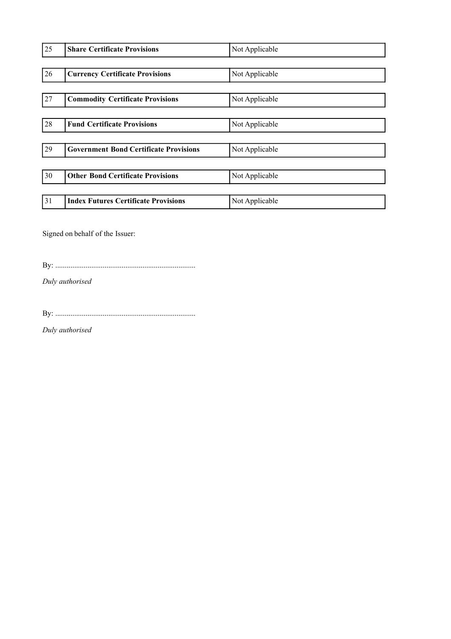| 25 | <b>Share Certificate Provisions</b>           | Not Applicable |
|----|-----------------------------------------------|----------------|
|    |                                               |                |
| 26 | <b>Currency Certificate Provisions</b>        | Not Applicable |
|    |                                               |                |
| 27 | <b>Commodity Certificate Provisions</b>       | Not Applicable |
|    |                                               |                |
| 28 | <b>Fund Certificate Provisions</b>            | Not Applicable |
|    |                                               |                |
| 29 | <b>Government Bond Certificate Provisions</b> | Not Applicable |
|    |                                               |                |
| 30 | <b>Other Bond Certificate Provisions</b>      | Not Applicable |
|    |                                               |                |
| 31 | <b>Index Futures Certificate Provisions</b>   | Not Applicable |

Signed on behalf of the Issuer:

By: ..........................................................................

*Duly authorised*

By: ..........................................................................

*Duly authorised*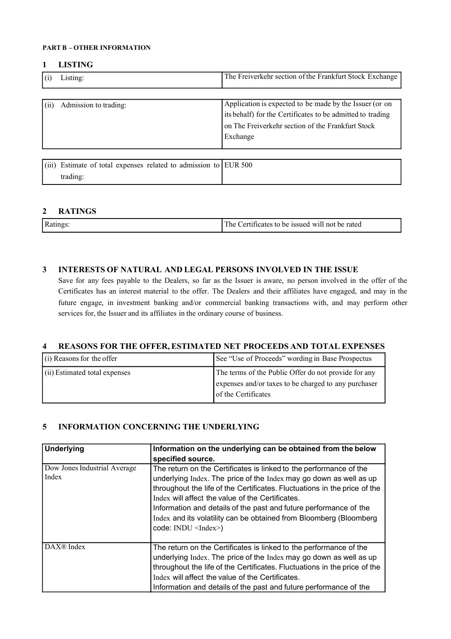#### **PART B – OTHER INFORMATION**

#### **1 LISTING**

|       | Listing:              | The Freiverkehr section of the Frankfurt Stock Exchange    |
|-------|-----------------------|------------------------------------------------------------|
| (iii) | Admission to trading: | Application is expected to be made by the Issuer (or on    |
|       |                       | its behalf) for the Certificates to be admitted to trading |

on The Freiverkehr section of the Frankfurt Stock

| (iii) Estimate of total expenses related to admission to EUR 500 |  |
|------------------------------------------------------------------|--|
| trading:                                                         |  |

Exchange

#### **2 RATINGS**

| Ratings:<br>The<br>Certificates to be issued<br>vull not be rated |  |  |
|-------------------------------------------------------------------|--|--|
|-------------------------------------------------------------------|--|--|

### **3 INTERESTS OF NATURAL AND LEGAL PERSONS INVOLVED IN THE ISSUE**

Save for any fees payable to the Dealers, so far as the Issuer is aware, no person involved in the offer of the Certificates has an interest material to the offer. The Dealers and their affiliates have engaged, and may in the future engage, in investment banking and/or commercial banking transactions with, and may perform other services for, the Issuer and its affiliates in the ordinary course of business.

### **4 REASONS FOR THE OFFER, ESTIMATED NET PROCEEDS AND TOTAL EXPENSES**

| $(i)$ Reasons for the offer   | See "Use of Proceeds" wording in Base Prospectus                                                                                    |
|-------------------------------|-------------------------------------------------------------------------------------------------------------------------------------|
| (ii) Estimated total expenses | The terms of the Public Offer do not provide for any<br>expenses and/or taxes to be charged to any purchaser<br>of the Certificates |

### **5 INFORMATION CONCERNING THE UNDERLYING**

| <b>Underlying</b>                     | Information on the underlying can be obtained from the below                                                                                                                                                                                                                                                                                                                                                                                     |
|---------------------------------------|--------------------------------------------------------------------------------------------------------------------------------------------------------------------------------------------------------------------------------------------------------------------------------------------------------------------------------------------------------------------------------------------------------------------------------------------------|
|                                       | specified source.                                                                                                                                                                                                                                                                                                                                                                                                                                |
| Dow Jones Industrial Average<br>Index | The return on the Certificates is linked to the performance of the<br>underlying Index. The price of the Index may go down as well as up<br>throughout the life of the Certificates. Fluctuations in the price of the<br>Index will affect the value of the Certificates.<br>Information and details of the past and future performance of the<br>Index and its volatility can be obtained from Bloomberg (Bloomberg<br>$code: INDU \leq Index>$ |
| DAX <sup>®</sup> Index                | The return on the Certificates is linked to the performance of the<br>underlying Index. The price of the Index may go down as well as up<br>throughout the life of the Certificates. Fluctuations in the price of the<br>Index will affect the value of the Certificates.<br>Information and details of the past and future performance of the                                                                                                   |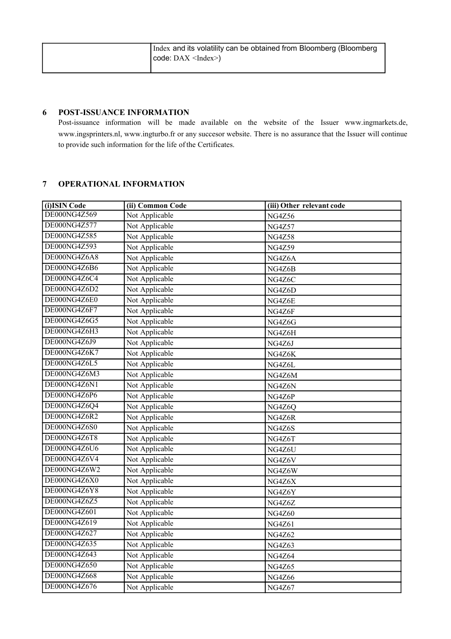| Index and its volatility can be obtained from Bloomberg (Bloomberg) |
|---------------------------------------------------------------------|
| $ code: DAX < ndex\rangle$                                          |
|                                                                     |

## **6 POST-ISSUANCE INFORMATION**

Post-issuance information will be made available on the website of the Issuer www.ingmarkets.de, www.ingsprinters.nl, www.ingturbo.fr or any succesor website. There is no assurance that the Issuer will continue to provide such information for the life of the Certificates.

## **7 OPERATIONAL INFORMATION**

| (i) ISIN Code       | (ii) Common Code | (iii) Other relevant code |
|---------------------|------------------|---------------------------|
| DE000NG4Z569        | Not Applicable   | <b>NG4Z56</b>             |
| DE000NG4Z577        | Not Applicable   | <b>NG4Z57</b>             |
| DE000NG4Z585        | Not Applicable   | <b>NG4Z58</b>             |
| <b>DE000NG4Z593</b> | Not Applicable   | <b>NG4Z59</b>             |
| DE000NG4Z6A8        | Not Applicable   | NG4Z6A                    |
| DE000NG4Z6B6        | Not Applicable   | NG4Z6B                    |
| DE000NG4Z6C4        | Not Applicable   | NG4Z6C                    |
| DE000NG4Z6D2        | Not Applicable   | NG4Z6D                    |
| DE000NG4Z6E0        | Not Applicable   | NG4Z6E                    |
| DE000NG4Z6F7        | Not Applicable   | NG4Z6F                    |
| DE000NG4Z6G5        | Not Applicable   | NG4Z6G                    |
| DE000NG4Z6H3        | Not Applicable   | NG4Z6H                    |
| DE000NG4Z6J9        | Not Applicable   | NG4Z6J                    |
| DE000NG4Z6K7        | Not Applicable   | NG4Z6K                    |
| DE000NG4Z6L5        | Not Applicable   | NG4Z6L                    |
| DE000NG4Z6M3        | Not Applicable   | NG4Z6M                    |
| DE000NG4Z6N1        | Not Applicable   | NG4Z6N                    |
| DE000NG4Z6P6        | Not Applicable   | NG4Z6P                    |
| DE000NG4Z6Q4        | Not Applicable   | NG4Z6Q                    |
| DE000NG4Z6R2        | Not Applicable   | NG4Z6R                    |
| DE000NG4Z6S0        | Not Applicable   | NG4Z6S                    |
| DE000NG4Z6T8        | Not Applicable   | NG4Z6T                    |
| DE000NG4Z6U6        | Not Applicable   | NG4Z6U                    |
| DE000NG4Z6V4        | Not Applicable   | NG4Z6V                    |
| DE000NG4Z6W2        | Not Applicable   | NG4Z6W                    |
| DE000NG4Z6X0        | Not Applicable   | NG4Z6X                    |
| DE000NG4Z6Y8        | Not Applicable   | NG4Z6Y                    |
| DE000NG4Z6Z5        | Not Applicable   | NG4Z6Z                    |
| DE000NG4Z601        | Not Applicable   | <b>NG4Z60</b>             |
| DE000NG4Z619        | Not Applicable   | <b>NG4Z61</b>             |
| DE000NG4Z627        | Not Applicable   | <b>NG4Z62</b>             |
| DE000NG4Z635        | Not Applicable   | <b>NG4Z63</b>             |
| DE000NG4Z643        | Not Applicable   | <b>NG4Z64</b>             |
| DE000NG4Z650        | Not Applicable   | <b>NG4Z65</b>             |
| DE000NG4Z668        | Not Applicable   | <b>NG4Z66</b>             |
| DE000NG4Z676        | Not Applicable   | <b>NG4Z67</b>             |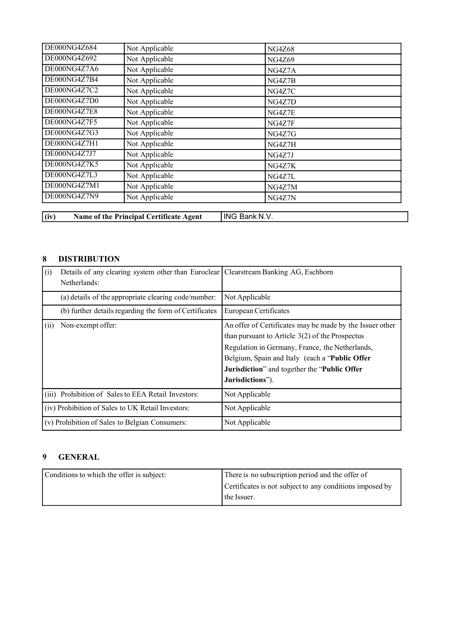| DE000NG4Z684 | Not Applicable | <b>NG4Z68</b> |  |
|--------------|----------------|---------------|--|
| DE000NG4Z692 | Not Applicable | <b>NG4Z69</b> |  |
| DE000NG4Z7A6 | Not Applicable | NG4Z7A        |  |
| DE000NG4Z7B4 | Not Applicable | NG4Z7B        |  |
| DE000NG4Z7C2 | Not Applicable | NG4Z7C        |  |
| DE000NG4Z7D0 | Not Applicable | NG4Z7D        |  |
| DE000NG4Z7E8 | Not Applicable | NG4Z7E        |  |
| DE000NG4Z7F5 | Not Applicable | NG4Z7F        |  |
| DE000NG4Z7G3 | Not Applicable | NG4Z7G        |  |
| DE000NG4Z7H1 | Not Applicable | NG4Z7H        |  |
| DE000NG4Z7J7 | Not Applicable | NG4Z7J        |  |
| DE000NG4Z7K5 | Not Applicable | NG4Z7K        |  |
| DE000NG4Z7L3 | Not Applicable | NG4Z7L        |  |
| DE000NG4Z7M1 | Not Applicable | NG4Z7M        |  |
| DE000NG4Z7N9 | Not Applicable | NG4Z7N        |  |

**(iv) Name of the Principal Certificate Agent** ING Bank N.V.

## **8 DISTRIBUTION**

| (i)  | Details of any clearing system other than Euroclear   Clearstream Banking AG, Eschborn<br>Netherlands: |                                                                                                                                                                                                                                                                                        |
|------|--------------------------------------------------------------------------------------------------------|----------------------------------------------------------------------------------------------------------------------------------------------------------------------------------------------------------------------------------------------------------------------------------------|
|      | (a) details of the appropriate clearing code/number:                                                   | Not Applicable                                                                                                                                                                                                                                                                         |
|      | (b) further details regarding the form of Certificates                                                 | European Certificates                                                                                                                                                                                                                                                                  |
| (ii) | Non-exempt offer:                                                                                      | An offer of Certificates may be made by the Issuer other<br>than pursuant to Article $3(2)$ of the Prospectus<br>Regulation in Germany, France, the Netherlands,<br>Belgium, Spain and Italy (each a "Public Offer<br>Jurisdiction" and together the "Public Offer<br>Jurisdictions"). |
|      | (iii) Prohibition of Sales to EEA Retail Investors:                                                    | Not Applicable                                                                                                                                                                                                                                                                         |
|      | (iv) Prohibition of Sales to UK Retail Investors:                                                      | Not Applicable                                                                                                                                                                                                                                                                         |
|      | (v) Prohibition of Sales to Belgian Consumers:                                                         | Not Applicable                                                                                                                                                                                                                                                                         |

## **9 GENERAL**

| Conditions to which the offer is subject: | There is no subscription period and the offer of         |
|-------------------------------------------|----------------------------------------------------------|
|                                           | Certificates is not subject to any conditions imposed by |
|                                           | the Issuer.                                              |